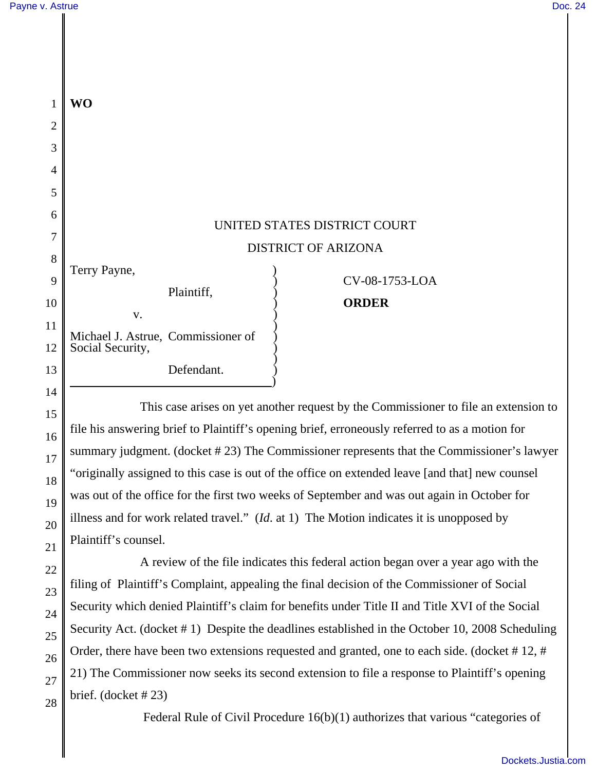| 1              | <b>WO</b>                                              |                              |
|----------------|--------------------------------------------------------|------------------------------|
| $\overline{2}$ |                                                        |                              |
| 3              |                                                        |                              |
| $\overline{4}$ |                                                        |                              |
| 5              |                                                        |                              |
| 6              |                                                        | UNITED STATES DISTRICT COURT |
| 7              |                                                        |                              |
|                |                                                        | <b>DISTRICT OF ARIZONA</b>   |
| 8<br>9         | Terry Payne,                                           | CV-08-1753-LOA               |
|                | Plaintiff,                                             |                              |
| 10             | V.                                                     | <b>ORDER</b>                 |
| 11             |                                                        |                              |
| 12             | Michael J. Astrue, Commissioner of<br>Social Security, |                              |
| 13             | Defendant.                                             |                              |
|                |                                                        |                              |

This case arises on yet another request by the Commissioner to file an extension to file his answering brief to Plaintiff's opening brief, erroneously referred to as a motion for summary judgment. (docket # 23) The Commissioner represents that the Commissioner's lawyer "originally assigned to this case is out of the office on extended leave [and that] new counsel was out of the office for the first two weeks of September and was out again in October for illness and for work related travel." (*Id*. at 1) The Motion indicates it is unopposed by Plaintiff's counsel.

A review of the file indicates this federal action began over a year ago with the filing of Plaintiff's Complaint, appealing the final decision of the Commissioner of Social Security which denied Plaintiff's claim for benefits under Title II and Title XVI of the Social Security Act. (docket # 1) Despite the deadlines established in the October 10, 2008 Scheduling Order, there have been two extensions requested and granted, one to each side. (docket #12, # 21) The Commissioner now seeks its second extension to file a response to Plaintiff's opening brief. (docket # 23)

Federal Rule of Civil Procedure 16(b)(1) authorizes that various "categories of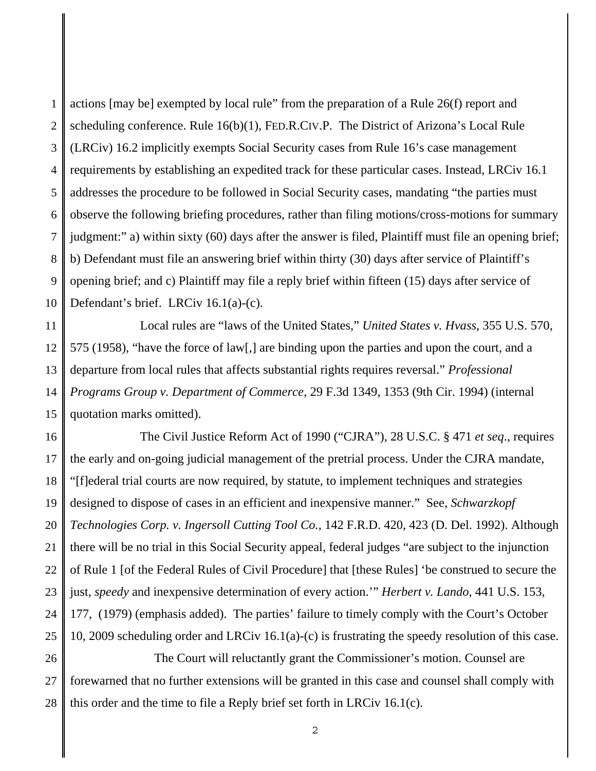1 2 3 4 5 6 7 8 9 10 actions [may be] exempted by local rule" from the preparation of a Rule 26(f) report and scheduling conference. Rule 16(b)(1), FED.R.CIV.P. The District of Arizona's Local Rule (LRCiv) 16.2 implicitly exempts Social Security cases from Rule 16's case management requirements by establishing an expedited track for these particular cases. Instead, LRCiv 16.1 addresses the procedure to be followed in Social Security cases, mandating "the parties must observe the following briefing procedures, rather than filing motions/cross-motions for summary judgment:" a) within sixty (60) days after the answer is filed, Plaintiff must file an opening brief; b) Defendant must file an answering brief within thirty (30) days after service of Plaintiff's opening brief; and c) Plaintiff may file a reply brief within fifteen (15) days after service of Defendant's brief. LRCiv 16.1(a)-(c).

11 12 13 14 15 Local rules are "laws of the United States," *United States v. Hvass*, 355 U.S. 570, 575 (1958), "have the force of law[,] are binding upon the parties and upon the court, and a departure from local rules that affects substantial rights requires reversal." *Professional Programs Group v. Department of Commerce*, 29 F.3d 1349, 1353 (9th Cir. 1994) (internal quotation marks omitted).

16 17 18 19 20 21 22 23 24 25 26 The Civil Justice Reform Act of 1990 ("CJRA"), 28 U.S.C. § 471 *et seq*., requires the early and on-going judicial management of the pretrial process. Under the CJRA mandate, "[f]ederal trial courts are now required, by statute, to implement techniques and strategies designed to dispose of cases in an efficient and inexpensive manner." See, *Schwarzkopf Technologies Corp. v. Ingersoll Cutting Tool Co.*, 142 F.R.D. 420, 423 (D. Del. 1992). Although there will be no trial in this Social Security appeal, federal judges "are subject to the injunction of Rule 1 [of the Federal Rules of Civil Procedure] that [these Rules] 'be construed to secure the just, *speedy* and inexpensive determination of every action.'" *Herbert v. Lando*, 441 U.S. 153, 177, (1979) (emphasis added). The parties' failure to timely comply with the Court's October 10, 2009 scheduling order and LRCiv 16.1(a)-(c) is frustrating the speedy resolution of this case. The Court will reluctantly grant the Commissioner's motion. Counsel are

27 28 forewarned that no further extensions will be granted in this case and counsel shall comply with this order and the time to file a Reply brief set forth in LRCiv 16.1(c).